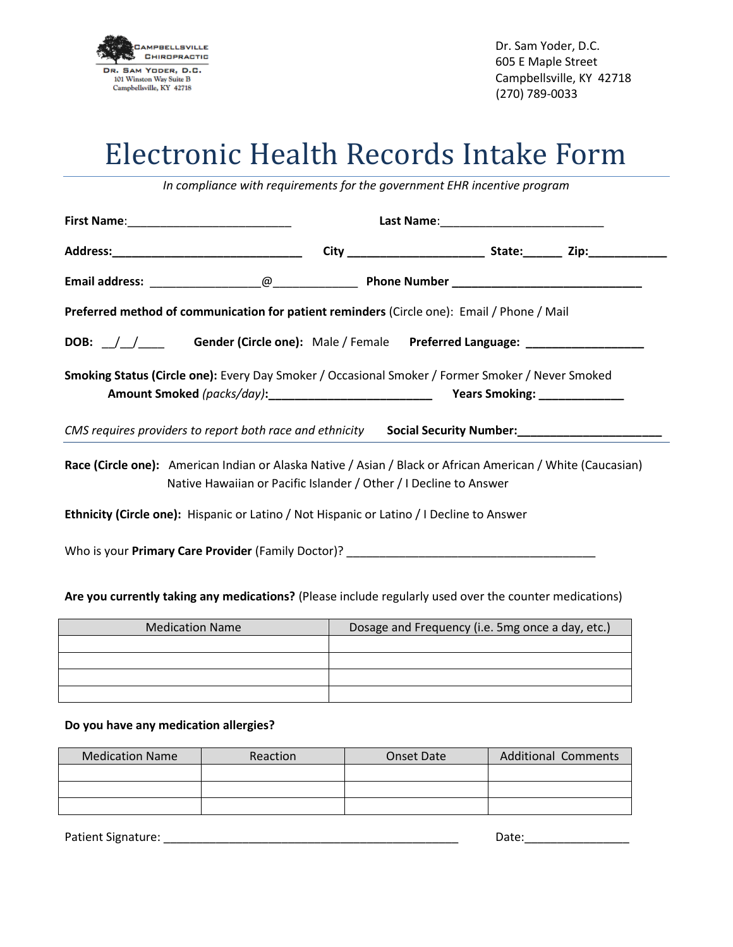

Dr. Sam Yoder, D.C. 605 E Maple Street Campbellsville, KY 42718 (270) 789-0033

## Electronic Health Records Intake Form

*In compliance with requirements for the government EHR incentive program*

| Preferred method of communication for patient reminders (Circle one): Email / Phone / Mail                                                                                       |  |  |  |  |
|----------------------------------------------------------------------------------------------------------------------------------------------------------------------------------|--|--|--|--|
|                                                                                                                                                                                  |  |  |  |  |
| Smoking Status (Circle one): Every Day Smoker / Occasional Smoker / Former Smoker / Never Smoked                                                                                 |  |  |  |  |
| CMS requires providers to report both race and ethnicity Social Security Number:                                                                                                 |  |  |  |  |
| Race (Circle one): American Indian or Alaska Native / Asian / Black or African American / White (Caucasian)<br>Native Hawaiian or Pacific Islander / Other / I Decline to Answer |  |  |  |  |
| Ethnicity (Circle one): Hispanic or Latino / Not Hispanic or Latino / I Decline to Answer                                                                                        |  |  |  |  |
|                                                                                                                                                                                  |  |  |  |  |
| Are you currently taking any medications? (Please include regularly used over the counter medications)                                                                           |  |  |  |  |

| <b>Medication Name</b> | Dosage and Frequency (i.e. 5mg once a day, etc.) |
|------------------------|--------------------------------------------------|
|                        |                                                  |
|                        |                                                  |
|                        |                                                  |
|                        |                                                  |

## **Do you have any medication allergies?**

| <b>Medication Name</b> | Reaction | Onset Date | <b>Additional Comments</b> |
|------------------------|----------|------------|----------------------------|
|                        |          |            |                            |
|                        |          |            |                            |
|                        |          |            |                            |

Patient Signature: \_\_\_\_\_\_\_\_\_\_\_\_\_\_\_\_\_\_\_\_\_\_\_\_\_\_\_\_\_\_\_\_\_\_\_\_\_\_\_\_\_\_\_\_\_ Date:\_\_\_\_\_\_\_\_\_\_\_\_\_\_\_\_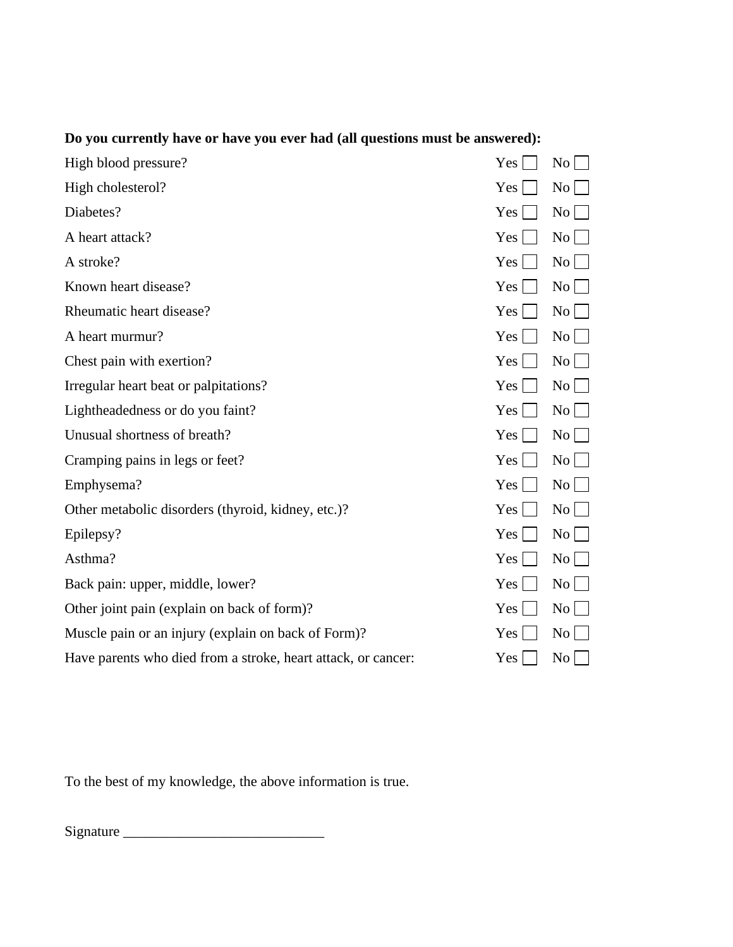| High blood pressure?                                          | Yes              | No                 |
|---------------------------------------------------------------|------------------|--------------------|
| High cholesterol?                                             | Yes              | No                 |
| Diabetes?                                                     | Yes              | $\overline{N_0}$   |
| A heart attack?                                               | Yes              | No                 |
| A stroke?                                                     | Yes              | $\overline{N_0}$   |
| Known heart disease?                                          | Yes              | $\overline{N_0}$   |
| Rheumatic heart disease?                                      | $Yes \mid$       | $\overline{N_0}$   |
| A heart murmur?                                               | Yes              | No <sub>1</sub>    |
| Chest pain with exertion?                                     | Yes <sup>1</sup> | $\overline{N_{0}}$ |
| Irregular heart beat or palpitations?                         | Yes              | No                 |
| Lightheadedness or do you faint?                              | Yes              | No                 |
| Unusual shortness of breath?                                  | Yes              | No <sub>1</sub>    |
| Cramping pains in legs or feet?                               | Yes              | No                 |
| Emphysema?                                                    | Yes              | No.                |
| Other metabolic disorders (thyroid, kidney, etc.)?            | Yes              | No                 |
| Epilepsy?                                                     | Yes              | No <sub>1</sub>    |
| Asthma?                                                       | Yes              | N <sub>0</sub>     |
| Back pain: upper, middle, lower?                              | Yes              | No                 |
| Other joint pain (explain on back of form)?                   | Yes              | No                 |
| Muscle pain or an injury (explain on back of Form)?           | Yes              | No <sub>1</sub>    |
| Have parents who died from a stroke, heart attack, or cancer: | Yes              | N <sub>0</sub>     |
|                                                               |                  |                    |

## **Do you currently have or have you ever had (all questions must be answered):**

To the best of my knowledge, the above information is true.

Signature \_\_\_\_\_\_\_\_\_\_\_\_\_\_\_\_\_\_\_\_\_\_\_\_\_\_\_\_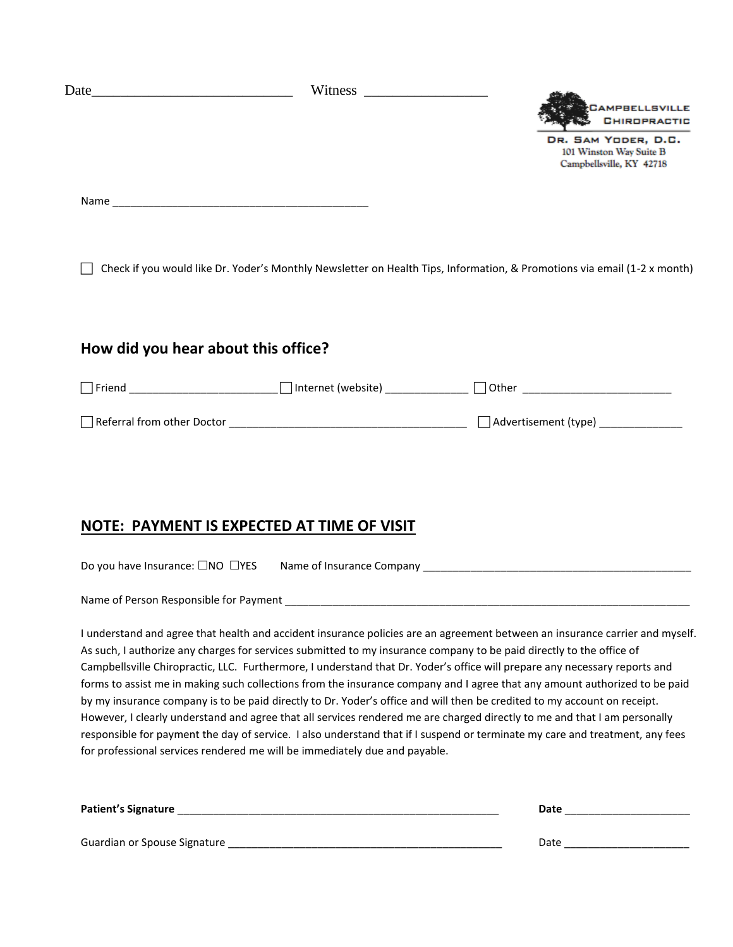|                                            |                           | <b>SECAMPBELLSVILLE</b><br><b>S</b> CHIROPRACTIC                                                                         |
|--------------------------------------------|---------------------------|--------------------------------------------------------------------------------------------------------------------------|
|                                            |                           | DR. SAM YODER, D.C.<br>101 Winston Way Suite B<br>Campbellsville, KY 42718                                               |
|                                            |                           |                                                                                                                          |
|                                            |                           | Check if you would like Dr. Yoder's Monthly Newsletter on Health Tips, Information, & Promotions via email (1-2 x month) |
| How did you hear about this office?        |                           |                                                                                                                          |
|                                            |                           | □ Friend __________________________ □ Internet (website) _____________ □ Other _________________________                 |
|                                            |                           |                                                                                                                          |
|                                            |                           |                                                                                                                          |
| NOTE: PAYMENT IS EXPECTED AT TIME OF VISIT |                           |                                                                                                                          |
| Do you have Insurance: □NO □YES            | Name of Insurance Company |                                                                                                                          |

Name of Person Responsible for Payment \_\_\_\_\_\_\_\_\_\_\_\_\_\_\_\_\_\_\_\_\_\_\_\_\_\_\_\_\_\_\_\_\_\_\_\_\_\_\_\_\_\_\_\_\_\_\_\_\_\_\_\_\_\_\_\_\_\_\_\_\_\_\_\_\_\_\_\_

I understand and agree that health and accident insurance policies are an agreement between an insurance carrier and myself. As such, I authorize any charges for services submitted to my insurance company to be paid directly to the office of Campbellsville Chiropractic, LLC. Furthermore, I understand that Dr. Yoder's office will prepare any necessary reports and forms to assist me in making such collections from the insurance company and I agree that any amount authorized to be paid by my insurance company is to be paid directly to Dr. Yoder's office and will then be credited to my account on receipt. However, I clearly understand and agree that all services rendered me are charged directly to me and that I am personally responsible for payment the day of service. I also understand that if I suspend or terminate my care and treatment, any fees for professional services rendered me will be immediately due and payable.

| <b>Patient's Signature</b>   | Date |
|------------------------------|------|
| Guardian or Spouse Signature | Date |
|                              |      |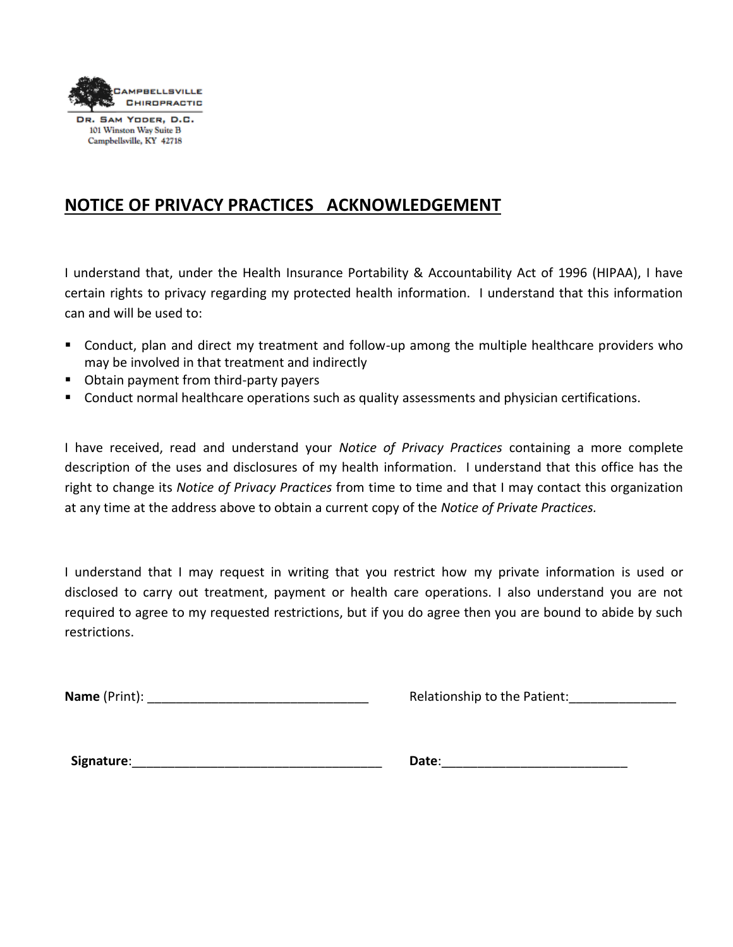

DR. SAM YODER, D.C. 101 Winston Way Suite B Campbellsville, KY 42718

## **NOTICE OF PRIVACY PRACTICES ACKNOWLEDGEMENT**

I understand that, under the Health Insurance Portability & Accountability Act of 1996 (HIPAA), I have certain rights to privacy regarding my protected health information. I understand that this information can and will be used to:

- Conduct, plan and direct my treatment and follow-up among the multiple healthcare providers who may be involved in that treatment and indirectly
- Obtain payment from third-party payers
- Conduct normal healthcare operations such as quality assessments and physician certifications.

I have received, read and understand your *Notice of Privacy Practices* containing a more complete description of the uses and disclosures of my health information. I understand that this office has the right to change its *Notice of Privacy Practices* from time to time and that I may contact this organization at any time at the address above to obtain a current copy of the *Notice of Private Practices.*

I understand that I may request in writing that you restrict how my private information is used or disclosed to carry out treatment, payment or health care operations. I also understand you are not required to agree to my requested restrictions, but if you do agree then you are bound to abide by such restrictions.

**Name** (Print): \_\_\_\_\_\_\_\_\_\_\_\_\_\_\_\_\_\_\_\_\_\_\_\_\_\_\_\_\_\_\_ Relationship to the Patient:\_\_\_\_\_\_\_\_\_\_\_\_\_\_\_